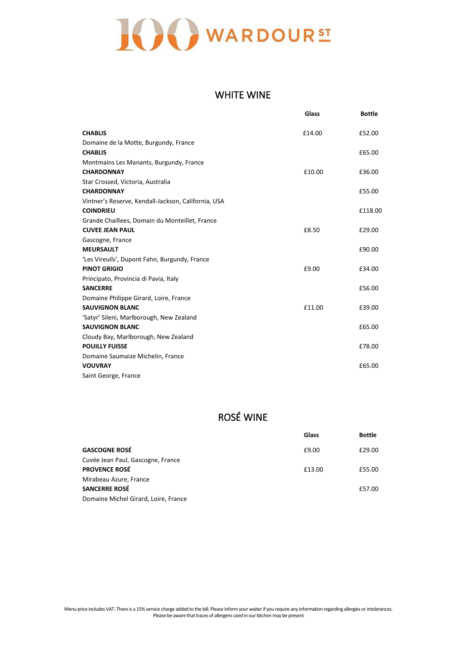

## WHITE WINE

|                                                     | Glass  | <b>Bottle</b> |
|-----------------------------------------------------|--------|---------------|
| <b>CHABLIS</b>                                      | £14.00 | £52.00        |
| Domaine de la Motte, Burgundy, France               |        |               |
| <b>CHABLIS</b>                                      |        | £65.00        |
| Montmains Les Manants, Burgundy, France             |        |               |
| <b>CHARDONNAY</b>                                   | £10.00 | £36.00        |
| Star Crossed, Victoria, Australia                   |        |               |
| <b>CHARDONNAY</b>                                   |        | £55.00        |
| Vintner's Reserve, Kendall-Jackson, California, USA |        |               |
| <b>COINDRIEU</b>                                    |        | £118.00       |
| Grande Chaillees, Domain du Monteillet, France      |        |               |
| <b>CUVEE JEAN PAUL</b>                              | £8.50  | £29.00        |
| Gascogne, France                                    |        |               |
| <b>MEURSAULT</b>                                    |        | £90.00        |
| 'Les Vireuils', Dupont Fahn, Burgundy, France       |        |               |
| <b>PINOT GRIGIO</b>                                 | £9.00  | £34.00        |
| Principato, Provincia di Pavia, Italy               |        |               |
| <b>SANCERRE</b>                                     |        | £56.00        |
| Domaine Philippe Girard, Loire, France              |        |               |
| <b>SAUVIGNON BLANC</b>                              | £11.00 | £39.00        |
| 'Satyr' Sileni, Marlborough, New Zealand            |        |               |
| <b>SAUVIGNON BLANC</b>                              |        | £65.00        |
| Cloudy Bay, Marlborough, New Zealand                |        |               |
| <b>POUILLY FUISSE</b>                               |        | £78.00        |
| Domaine Saumaize Michelin, France                   |        |               |
| <b>VOUVRAY</b>                                      |        | £65.00        |
| Saint George, France                                |        |               |

## ROSÉ WINE

|                                      | Glass  | <b>Bottle</b> |
|--------------------------------------|--------|---------------|
| <b>GASCOGNE ROSÉ</b>                 | £9.00  | £29.00        |
| Cuvée Jean Paul, Gascogne, France    |        |               |
| <b>PROVENCE ROSÉ</b>                 | £13.00 | £55.00        |
| Mirabeau Azure, France               |        |               |
| <b>SANCERRE ROSÉ</b>                 |        | £57.00        |
| Domaine Michel Girard, Loire, France |        |               |